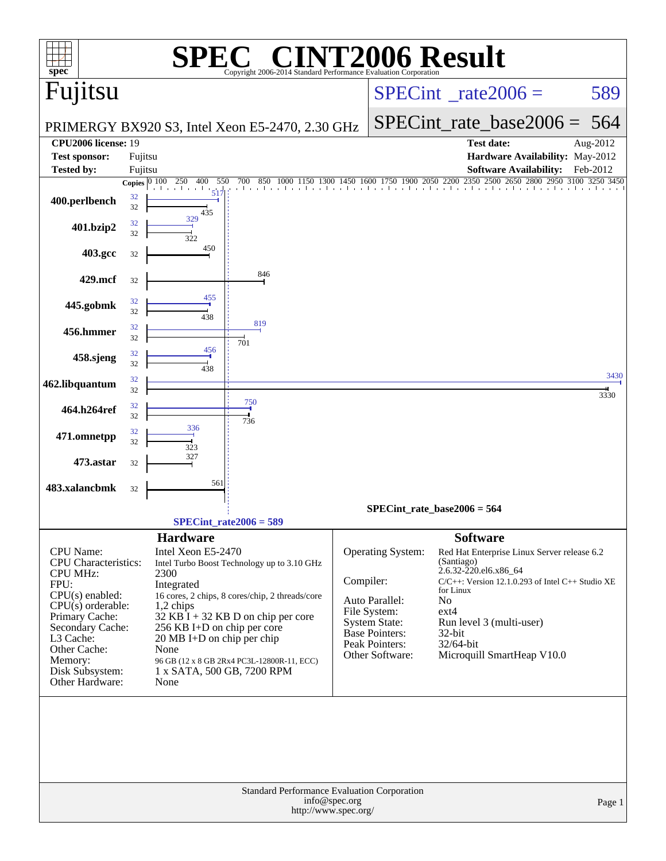| spec <sup>®</sup>                                  |                  |                                              | Copyright 2006-2014 Standard Performance Evaluation Corporation |                                       |                                        | <b>CINT2006 Result</b>                                   |              |
|----------------------------------------------------|------------------|----------------------------------------------|-----------------------------------------------------------------|---------------------------------------|----------------------------------------|----------------------------------------------------------|--------------|
| Fujitsu                                            |                  |                                              |                                                                 |                                       |                                        | $SPECint^{\circ}$ <sub>_rate2006</sub> =                 | 589          |
|                                                    |                  |                                              | PRIMERGY BX920 S3, Intel Xeon E5-2470, 2.30 GHz                 |                                       |                                        | $SPECint_rate_base2006 =$                                | 564          |
| <b>CPU2006 license: 19</b><br><b>Test sponsor:</b> | Fujitsu          |                                              |                                                                 |                                       |                                        | Test date:<br>Hardware Availability: May-2012            | Aug-2012     |
| <b>Tested by:</b>                                  | Fujitsu          |                                              |                                                                 |                                       |                                        | <b>Software Availability:</b>                            | Feb-2012     |
|                                                    | Copies $ 0, 100$ | 250<br>400<br>550                            | 850<br>700                                                      | 1450                                  | 1600 1750 1900 2050 2200               | 2350 2500<br>2650 2800<br>and and and and and and and an | 2950 3100    |
| 400.perlbench                                      | 32<br>32         | 517<br>435                                   |                                                                 |                                       |                                        |                                                          |              |
| 401.bzip2                                          | 32<br>32         | 329<br>322                                   |                                                                 |                                       |                                        |                                                          |              |
| 403.gcc                                            | 32               | 450                                          |                                                                 |                                       |                                        |                                                          |              |
| 429.mcf                                            | 32               |                                              | 846                                                             |                                       |                                        |                                                          |              |
| 445.gobmk                                          | 32<br>32         | 455<br>438                                   |                                                                 |                                       |                                        |                                                          |              |
| 456.hmmer                                          | 32<br>32         |                                              | 819<br>701                                                      |                                       |                                        |                                                          |              |
| 458.sjeng                                          | 32<br>32         | 456<br>438                                   |                                                                 |                                       |                                        |                                                          |              |
| 462.libquantum                                     | 32<br>32         |                                              |                                                                 |                                       |                                        |                                                          | 3430<br>3330 |
| 464.h264ref                                        | 32<br>32         |                                              | 750<br>736                                                      |                                       |                                        |                                                          |              |
| 471.omnetpp                                        | 32<br>32         | 336<br>323                                   |                                                                 |                                       |                                        |                                                          |              |
| 473.astar                                          | 32               | 327                                          |                                                                 |                                       |                                        |                                                          |              |
| 483.xalancbmk                                      | 32               | 561                                          |                                                                 |                                       |                                        |                                                          |              |
|                                                    |                  |                                              |                                                                 |                                       |                                        | $SPECint_rate_base2006 = 564$                            |              |
|                                                    |                  | $SPECint_rate2006 = 589$                     |                                                                 |                                       |                                        |                                                          |              |
|                                                    |                  | <b>Hardware</b>                              |                                                                 |                                       |                                        | <b>Software</b>                                          |              |
| <b>CPU</b> Name:                                   |                  | Intel Xeon E5-2470                           |                                                                 |                                       | Operating System:                      | Red Hat Enterprise Linux Server release 6.2              |              |
| CPU Characteristics:<br><b>CPU MHz:</b>            |                  | 2300                                         | Intel Turbo Boost Technology up to 3.10 GHz                     |                                       |                                        | (Santiago)<br>2.6.32-220.el6.x86_64                      |              |
| FPU:                                               |                  | Integrated                                   |                                                                 | Compiler:                             |                                        | $C/C++$ : Version 12.1.0.293 of Intel $C++$ Studio XE    |              |
| $CPU(s)$ enabled:<br>$CPU(s)$ orderable:           |                  |                                              | 16 cores, 2 chips, 8 cores/chip, 2 threads/core                 |                                       | Auto Parallel:                         | for Linux<br>N <sub>o</sub>                              |              |
| Primary Cache:                                     |                  | 1,2 chips                                    | $32$ KB I + 32 KB D on chip per core                            |                                       | File System:                           | $ext{4}$                                                 |              |
| Secondary Cache:                                   |                  | 256 KB I+D on chip per core                  |                                                                 |                                       | <b>System State:</b><br>Base Pointers: | Run level 3 (multi-user)<br>32-bit                       |              |
| L3 Cache:<br>Other Cache:                          |                  | $20 \text{ MB I+D}$ on chip per chip<br>None |                                                                 |                                       | Peak Pointers:                         | 32/64-bit                                                |              |
| Memory:                                            |                  |                                              | 96 GB (12 x 8 GB 2Rx4 PC3L-12800R-11, ECC)                      |                                       | Other Software:                        | Microquill SmartHeap V10.0                               |              |
| Disk Subsystem:<br>Other Hardware:                 |                  | 1 x SATA, 500 GB, 7200 RPM<br>None           |                                                                 |                                       |                                        |                                                          |              |
|                                                    |                  |                                              | <b>Standard Performance Evaluation Corporation</b>              |                                       |                                        |                                                          |              |
|                                                    |                  |                                              |                                                                 | info@spec.org<br>http://www.spec.org/ |                                        |                                                          | Page 1       |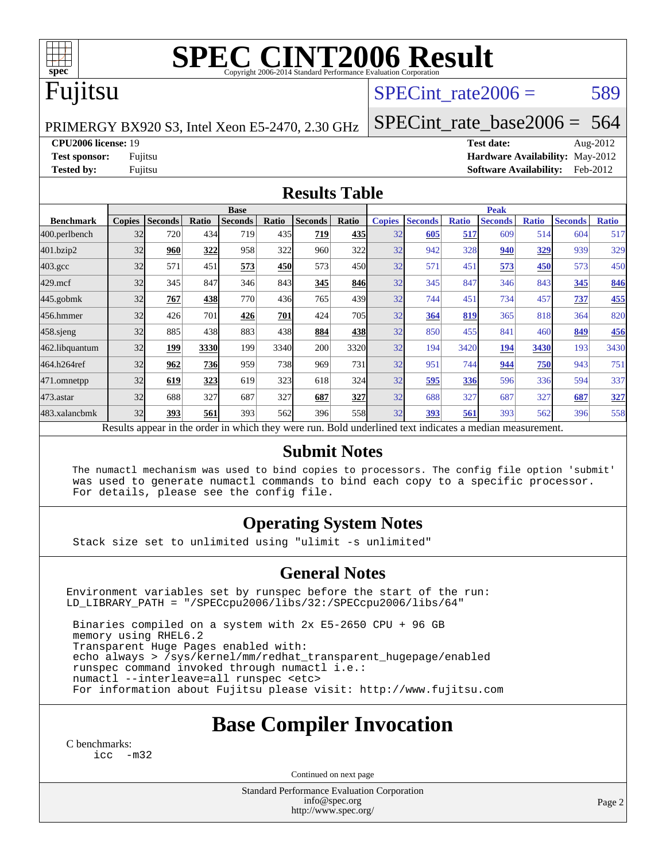

# **[SPEC CINT2006 Result](http://www.spec.org/auto/cpu2006/Docs/result-fields.html#SPECCINT2006Result)**

## Fujitsu

### SPECint rate $2006 = 589$

PRIMERGY BX920 S3, Intel Xeon E5-2470, 2.30 GHz

[SPECint\\_rate\\_base2006 =](http://www.spec.org/auto/cpu2006/Docs/result-fields.html#SPECintratebase2006) 564

**[CPU2006 license:](http://www.spec.org/auto/cpu2006/Docs/result-fields.html#CPU2006license)** 19 **[Test date:](http://www.spec.org/auto/cpu2006/Docs/result-fields.html#Testdate)** Aug-2012

**[Test sponsor:](http://www.spec.org/auto/cpu2006/Docs/result-fields.html#Testsponsor)** Fujitsu **[Hardware Availability:](http://www.spec.org/auto/cpu2006/Docs/result-fields.html#HardwareAvailability)** May-2012 **[Tested by:](http://www.spec.org/auto/cpu2006/Docs/result-fields.html#Testedby)** Fujitsu **Fugital Example 2012 [Software Availability:](http://www.spec.org/auto/cpu2006/Docs/result-fields.html#SoftwareAvailability)** Feb-2012

#### **[Results Table](http://www.spec.org/auto/cpu2006/Docs/result-fields.html#ResultsTable)**

|                                                                                                          | <b>Base</b>   |                |              |                |       |                | <b>Peak</b> |               |                |              |                |              |                |              |
|----------------------------------------------------------------------------------------------------------|---------------|----------------|--------------|----------------|-------|----------------|-------------|---------------|----------------|--------------|----------------|--------------|----------------|--------------|
| <b>Benchmark</b>                                                                                         | <b>Copies</b> | <b>Seconds</b> | <b>Ratio</b> | <b>Seconds</b> | Ratio | <b>Seconds</b> | Ratio       | <b>Copies</b> | <b>Seconds</b> | <b>Ratio</b> | <b>Seconds</b> | <b>Ratio</b> | <b>Seconds</b> | <b>Ratio</b> |
| 400.perlbench                                                                                            | 32            | 720            | 434          | 719            | 435   | 719            | 435         | 32            | 605            | 517          | 609            | 514          | 604            | 517          |
| 401.bzip2                                                                                                | 32            | 960            | 322          | 958            | 322   | 960            | 322         | 32            | 942            | 328          | 940            | 329          | 939            | 329          |
| $403.\mathrm{gcc}$                                                                                       | 32            | 571            | 451          | 573            | 450   | 573            | 450l        | 32            | 571            | 451          | 573            | 450          | 573            | 450          |
| $429$ .mcf                                                                                               | 32            | 345            | 847          | 346            | 843   | 345            | 846         | 32            | 345            | 847          | 346            | 843          | 345            | 846          |
| $445$ .gobmk                                                                                             | 32            | 767            | 438          | 770            | 436   | 765            | 439         | 32            | 744            | 451          | 734            | 457          | 737            | 455          |
| 456.hmmer                                                                                                | 32            | 426            | 701          | 426            | 701   | 424            | <b>705</b>  | 32            | 364            | 819          | 365            | 818          | 364            | 820          |
| $458$ .sjeng                                                                                             | 32            | 885            | 438          | 883            | 438   | 884            | 438         | 32            | 850            | 455          | 841            | 460          | 849            | <b>456</b>   |
| 462.libquantum                                                                                           | 32            | 199            | 3330         | 199            | 3340  | 200            | 3320        | 32            | 194            | 3420         | 194            | 3430         | 193            | 3430         |
| 464.h264ref                                                                                              | 32            | 962            | 736          | 959            | 738   | 969            | 731         | 32            | 951            | 744          | 944            | 750          | 943            | 751          |
| 471.omnetpp                                                                                              | 32            | 619            | 323          | 619            | 323   | 618            | 324         | 32            | 595            | 336          | 596            | 336          | 594            | 337          |
| $473.$ astar                                                                                             | 32            | 688            | 327          | 687            | 327   | 687            | 327         | 32            | 688            | 327          | 687            | 327          | 687            | 327          |
| 483.xalancbmk                                                                                            | 32            | 393            | 561          | 393            | 562   | 396            | 558         | 32            | 393            | 561          | 393            | 562          | 396            | 558          |
| Results appear in the order in which they were run. Bold underlined text indicates a median measurement. |               |                |              |                |       |                |             |               |                |              |                |              |                |              |

### **[Submit Notes](http://www.spec.org/auto/cpu2006/Docs/result-fields.html#SubmitNotes)**

 The numactl mechanism was used to bind copies to processors. The config file option 'submit' was used to generate numactl commands to bind each copy to a specific processor. For details, please see the config file.

### **[Operating System Notes](http://www.spec.org/auto/cpu2006/Docs/result-fields.html#OperatingSystemNotes)**

Stack size set to unlimited using "ulimit -s unlimited"

#### **[General Notes](http://www.spec.org/auto/cpu2006/Docs/result-fields.html#GeneralNotes)**

Environment variables set by runspec before the start of the run: LD\_LIBRARY\_PATH = "/SPECcpu2006/libs/32:/SPECcpu2006/libs/64"

 Binaries compiled on a system with 2x E5-2650 CPU + 96 GB memory using RHEL6.2 Transparent Huge Pages enabled with: echo always > /sys/kernel/mm/redhat\_transparent\_hugepage/enabled runspec command invoked through numactl i.e.: numactl --interleave=all runspec <etc> For information about Fujitsu please visit: <http://www.fujitsu.com>

## **[Base Compiler Invocation](http://www.spec.org/auto/cpu2006/Docs/result-fields.html#BaseCompilerInvocation)**

[C benchmarks](http://www.spec.org/auto/cpu2006/Docs/result-fields.html#Cbenchmarks): [icc -m32](http://www.spec.org/cpu2006/results/res2012q3/cpu2006-20120806-24080.flags.html#user_CCbase_intel_icc_5ff4a39e364c98233615fdd38438c6f2)

Continued on next page

Standard Performance Evaluation Corporation [info@spec.org](mailto:info@spec.org) <http://www.spec.org/>

Page 2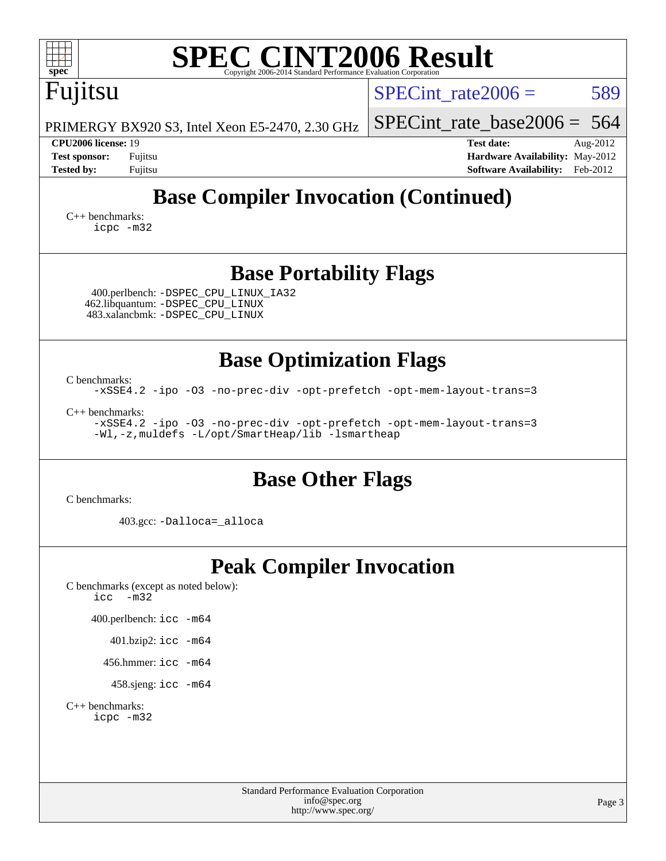| <b>SPEC CINT2006 Result</b><br>spec <sup>®</sup><br>Copyright 2006-2014 Standard Performance Evaluation Corporation                                                                                                                                                         |                                                                                                               |
|-----------------------------------------------------------------------------------------------------------------------------------------------------------------------------------------------------------------------------------------------------------------------------|---------------------------------------------------------------------------------------------------------------|
| Fujitsu                                                                                                                                                                                                                                                                     | 589<br>SPECint rate $2006 =$                                                                                  |
| PRIMERGY BX920 S3, Intel Xeon E5-2470, 2.30 GHz                                                                                                                                                                                                                             | SPECint rate base $2006 = 564$                                                                                |
| CPU2006 license: 19<br><b>Test sponsor:</b><br>Fujitsu<br><b>Tested by:</b><br>Fujitsu                                                                                                                                                                                      | <b>Test date:</b><br>Aug-2012<br>Hardware Availability: May-2012<br><b>Software Availability:</b><br>Feb-2012 |
| <b>Base Compiler Invocation (Continued)</b><br>$C++$ benchmarks:<br>icpc -m32                                                                                                                                                                                               |                                                                                                               |
| <b>Base Portability Flags</b><br>400.perlbench: -DSPEC_CPU_LINUX_IA32<br>462.libquantum: - DSPEC_CPU_LINUX<br>483.xalancbmk: -DSPEC_CPU_LINUX                                                                                                                               |                                                                                                               |
| <b>Base Optimization Flags</b><br>C benchmarks:<br>-xSSE4.2 -ipo -03 -no-prec-div -opt-prefetch -opt-mem-layout-trans=3<br>$C_{++}$ benchmarks:<br>-xSSE4.2 -ipo -03 -no-prec-div -opt-prefetch -opt-mem-layout-trans=3<br>-Wl,-z, muldefs -L/opt/SmartHeap/lib -lsmartheap |                                                                                                               |
| <b>Base Other Flags</b><br>C benchmarks:                                                                                                                                                                                                                                    |                                                                                                               |
| 403.gcc: -Dalloca=_alloca                                                                                                                                                                                                                                                   |                                                                                                               |
| <b>Peak Compiler Invocation</b><br>C benchmarks (except as noted below):<br>$-m32$<br>icc<br>400.perlbench: icc -m64<br>401.bzip2: icc -m64<br>456.hmmer: $\text{icc}$ -m64<br>458.sjeng: icc -m64<br>$C_{++}$ benchmarks:<br>icpc -m32                                     |                                                                                                               |
| <b>Standard Performance Evaluation Corporation</b><br>info@spec.org<br>http://www.spec.org/                                                                                                                                                                                 | Page 3                                                                                                        |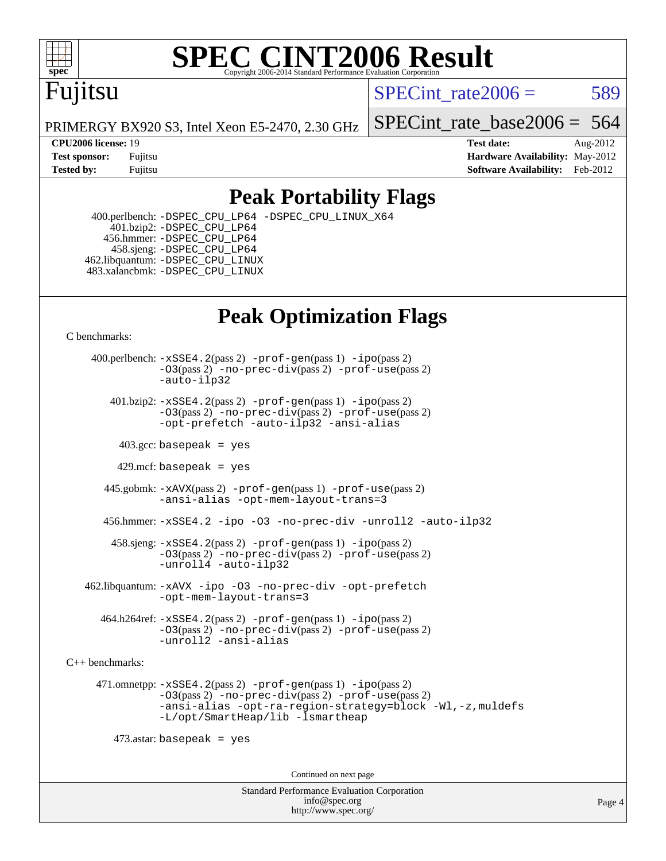

# **[SPEC CINT2006 Result](http://www.spec.org/auto/cpu2006/Docs/result-fields.html#SPECCINT2006Result)**

# Fujitsu

SPECint rate $2006 = 589$ 

PRIMERGY BX920 S3, Intel Xeon E5-2470, 2.30 GHz

#### **[CPU2006 license:](http://www.spec.org/auto/cpu2006/Docs/result-fields.html#CPU2006license)** 19 **[Test date:](http://www.spec.org/auto/cpu2006/Docs/result-fields.html#Testdate)** Aug-2012

[SPECint\\_rate\\_base2006 =](http://www.spec.org/auto/cpu2006/Docs/result-fields.html#SPECintratebase2006) 564

**[Test sponsor:](http://www.spec.org/auto/cpu2006/Docs/result-fields.html#Testsponsor)** Fujitsu **[Hardware Availability:](http://www.spec.org/auto/cpu2006/Docs/result-fields.html#HardwareAvailability)** May-2012 **[Tested by:](http://www.spec.org/auto/cpu2006/Docs/result-fields.html#Testedby)** Fujitsu **Fugital Example 2012 [Software Availability:](http://www.spec.org/auto/cpu2006/Docs/result-fields.html#SoftwareAvailability)** Feb-2012

## **[Peak Portability Flags](http://www.spec.org/auto/cpu2006/Docs/result-fields.html#PeakPortabilityFlags)**

 400.perlbench: [-DSPEC\\_CPU\\_LP64](http://www.spec.org/cpu2006/results/res2012q3/cpu2006-20120806-24080.flags.html#b400.perlbench_peakCPORTABILITY_DSPEC_CPU_LP64) [-DSPEC\\_CPU\\_LINUX\\_X64](http://www.spec.org/cpu2006/results/res2012q3/cpu2006-20120806-24080.flags.html#b400.perlbench_peakCPORTABILITY_DSPEC_CPU_LINUX_X64) 401.bzip2: [-DSPEC\\_CPU\\_LP64](http://www.spec.org/cpu2006/results/res2012q3/cpu2006-20120806-24080.flags.html#suite_peakCPORTABILITY401_bzip2_DSPEC_CPU_LP64) 456.hmmer: [-DSPEC\\_CPU\\_LP64](http://www.spec.org/cpu2006/results/res2012q3/cpu2006-20120806-24080.flags.html#suite_peakCPORTABILITY456_hmmer_DSPEC_CPU_LP64) 458.sjeng: [-DSPEC\\_CPU\\_LP64](http://www.spec.org/cpu2006/results/res2012q3/cpu2006-20120806-24080.flags.html#suite_peakCPORTABILITY458_sjeng_DSPEC_CPU_LP64) 462.libquantum: [-DSPEC\\_CPU\\_LINUX](http://www.spec.org/cpu2006/results/res2012q3/cpu2006-20120806-24080.flags.html#b462.libquantum_peakCPORTABILITY_DSPEC_CPU_LINUX) 483.xalancbmk: [-DSPEC\\_CPU\\_LINUX](http://www.spec.org/cpu2006/results/res2012q3/cpu2006-20120806-24080.flags.html#b483.xalancbmk_peakCXXPORTABILITY_DSPEC_CPU_LINUX)

## **[Peak Optimization Flags](http://www.spec.org/auto/cpu2006/Docs/result-fields.html#PeakOptimizationFlags)**

[C benchmarks](http://www.spec.org/auto/cpu2006/Docs/result-fields.html#Cbenchmarks):

 400.perlbench: [-xSSE4.2](http://www.spec.org/cpu2006/results/res2012q3/cpu2006-20120806-24080.flags.html#user_peakPASS2_CFLAGSPASS2_LDCFLAGS400_perlbench_f-xSSE42_f91528193cf0b216347adb8b939d4107)(pass 2) [-prof-gen](http://www.spec.org/cpu2006/results/res2012q3/cpu2006-20120806-24080.flags.html#user_peakPASS1_CFLAGSPASS1_LDCFLAGS400_perlbench_prof_gen_e43856698f6ca7b7e442dfd80e94a8fc)(pass 1) [-ipo](http://www.spec.org/cpu2006/results/res2012q3/cpu2006-20120806-24080.flags.html#user_peakPASS2_CFLAGSPASS2_LDCFLAGS400_perlbench_f-ipo)(pass 2) [-O3](http://www.spec.org/cpu2006/results/res2012q3/cpu2006-20120806-24080.flags.html#user_peakPASS2_CFLAGSPASS2_LDCFLAGS400_perlbench_f-O3)(pass 2) [-no-prec-div](http://www.spec.org/cpu2006/results/res2012q3/cpu2006-20120806-24080.flags.html#user_peakPASS2_CFLAGSPASS2_LDCFLAGS400_perlbench_f-no-prec-div)(pass 2) [-prof-use](http://www.spec.org/cpu2006/results/res2012q3/cpu2006-20120806-24080.flags.html#user_peakPASS2_CFLAGSPASS2_LDCFLAGS400_perlbench_prof_use_bccf7792157ff70d64e32fe3e1250b55)(pass 2) [-auto-ilp32](http://www.spec.org/cpu2006/results/res2012q3/cpu2006-20120806-24080.flags.html#user_peakCOPTIMIZE400_perlbench_f-auto-ilp32) 401.bzip2: [-xSSE4.2](http://www.spec.org/cpu2006/results/res2012q3/cpu2006-20120806-24080.flags.html#user_peakPASS2_CFLAGSPASS2_LDCFLAGS401_bzip2_f-xSSE42_f91528193cf0b216347adb8b939d4107)(pass 2) [-prof-gen](http://www.spec.org/cpu2006/results/res2012q3/cpu2006-20120806-24080.flags.html#user_peakPASS1_CFLAGSPASS1_LDCFLAGS401_bzip2_prof_gen_e43856698f6ca7b7e442dfd80e94a8fc)(pass 1) [-ipo](http://www.spec.org/cpu2006/results/res2012q3/cpu2006-20120806-24080.flags.html#user_peakPASS2_CFLAGSPASS2_LDCFLAGS401_bzip2_f-ipo)(pass 2) [-O3](http://www.spec.org/cpu2006/results/res2012q3/cpu2006-20120806-24080.flags.html#user_peakPASS2_CFLAGSPASS2_LDCFLAGS401_bzip2_f-O3)(pass 2) [-no-prec-div](http://www.spec.org/cpu2006/results/res2012q3/cpu2006-20120806-24080.flags.html#user_peakPASS2_CFLAGSPASS2_LDCFLAGS401_bzip2_f-no-prec-div)(pass 2) [-prof-use](http://www.spec.org/cpu2006/results/res2012q3/cpu2006-20120806-24080.flags.html#user_peakPASS2_CFLAGSPASS2_LDCFLAGS401_bzip2_prof_use_bccf7792157ff70d64e32fe3e1250b55)(pass 2) [-opt-prefetch](http://www.spec.org/cpu2006/results/res2012q3/cpu2006-20120806-24080.flags.html#user_peakCOPTIMIZE401_bzip2_f-opt-prefetch) [-auto-ilp32](http://www.spec.org/cpu2006/results/res2012q3/cpu2006-20120806-24080.flags.html#user_peakCOPTIMIZE401_bzip2_f-auto-ilp32) [-ansi-alias](http://www.spec.org/cpu2006/results/res2012q3/cpu2006-20120806-24080.flags.html#user_peakCOPTIMIZE401_bzip2_f-ansi-alias)  $403.\text{sec: basepeak}$  = yes 429.mcf: basepeak = yes

 445.gobmk: [-xAVX](http://www.spec.org/cpu2006/results/res2012q3/cpu2006-20120806-24080.flags.html#user_peakPASS2_CFLAGSPASS2_LDCFLAGS445_gobmk_f-xAVX)(pass 2) [-prof-gen](http://www.spec.org/cpu2006/results/res2012q3/cpu2006-20120806-24080.flags.html#user_peakPASS1_CFLAGSPASS1_LDCFLAGS445_gobmk_prof_gen_e43856698f6ca7b7e442dfd80e94a8fc)(pass 1) [-prof-use](http://www.spec.org/cpu2006/results/res2012q3/cpu2006-20120806-24080.flags.html#user_peakPASS2_CFLAGSPASS2_LDCFLAGS445_gobmk_prof_use_bccf7792157ff70d64e32fe3e1250b55)(pass 2) [-ansi-alias](http://www.spec.org/cpu2006/results/res2012q3/cpu2006-20120806-24080.flags.html#user_peakCOPTIMIZE445_gobmk_f-ansi-alias) [-opt-mem-layout-trans=3](http://www.spec.org/cpu2006/results/res2012q3/cpu2006-20120806-24080.flags.html#user_peakCOPTIMIZE445_gobmk_f-opt-mem-layout-trans_a7b82ad4bd7abf52556d4961a2ae94d5)

456.hmmer: [-xSSE4.2](http://www.spec.org/cpu2006/results/res2012q3/cpu2006-20120806-24080.flags.html#user_peakCOPTIMIZE456_hmmer_f-xSSE42_f91528193cf0b216347adb8b939d4107) [-ipo](http://www.spec.org/cpu2006/results/res2012q3/cpu2006-20120806-24080.flags.html#user_peakCOPTIMIZE456_hmmer_f-ipo) [-O3](http://www.spec.org/cpu2006/results/res2012q3/cpu2006-20120806-24080.flags.html#user_peakCOPTIMIZE456_hmmer_f-O3) [-no-prec-div](http://www.spec.org/cpu2006/results/res2012q3/cpu2006-20120806-24080.flags.html#user_peakCOPTIMIZE456_hmmer_f-no-prec-div) [-unroll2](http://www.spec.org/cpu2006/results/res2012q3/cpu2006-20120806-24080.flags.html#user_peakCOPTIMIZE456_hmmer_f-unroll_784dae83bebfb236979b41d2422d7ec2) [-auto-ilp32](http://www.spec.org/cpu2006/results/res2012q3/cpu2006-20120806-24080.flags.html#user_peakCOPTIMIZE456_hmmer_f-auto-ilp32)

 458.sjeng: [-xSSE4.2](http://www.spec.org/cpu2006/results/res2012q3/cpu2006-20120806-24080.flags.html#user_peakPASS2_CFLAGSPASS2_LDCFLAGS458_sjeng_f-xSSE42_f91528193cf0b216347adb8b939d4107)(pass 2) [-prof-gen](http://www.spec.org/cpu2006/results/res2012q3/cpu2006-20120806-24080.flags.html#user_peakPASS1_CFLAGSPASS1_LDCFLAGS458_sjeng_prof_gen_e43856698f6ca7b7e442dfd80e94a8fc)(pass 1) [-ipo](http://www.spec.org/cpu2006/results/res2012q3/cpu2006-20120806-24080.flags.html#user_peakPASS2_CFLAGSPASS2_LDCFLAGS458_sjeng_f-ipo)(pass 2) [-O3](http://www.spec.org/cpu2006/results/res2012q3/cpu2006-20120806-24080.flags.html#user_peakPASS2_CFLAGSPASS2_LDCFLAGS458_sjeng_f-O3)(pass 2) [-no-prec-div](http://www.spec.org/cpu2006/results/res2012q3/cpu2006-20120806-24080.flags.html#user_peakPASS2_CFLAGSPASS2_LDCFLAGS458_sjeng_f-no-prec-div)(pass 2) [-prof-use](http://www.spec.org/cpu2006/results/res2012q3/cpu2006-20120806-24080.flags.html#user_peakPASS2_CFLAGSPASS2_LDCFLAGS458_sjeng_prof_use_bccf7792157ff70d64e32fe3e1250b55)(pass 2) [-unroll4](http://www.spec.org/cpu2006/results/res2012q3/cpu2006-20120806-24080.flags.html#user_peakCOPTIMIZE458_sjeng_f-unroll_4e5e4ed65b7fd20bdcd365bec371b81f) [-auto-ilp32](http://www.spec.org/cpu2006/results/res2012q3/cpu2006-20120806-24080.flags.html#user_peakCOPTIMIZE458_sjeng_f-auto-ilp32)

 462.libquantum: [-xAVX](http://www.spec.org/cpu2006/results/res2012q3/cpu2006-20120806-24080.flags.html#user_peakCOPTIMIZE462_libquantum_f-xAVX) [-ipo](http://www.spec.org/cpu2006/results/res2012q3/cpu2006-20120806-24080.flags.html#user_peakCOPTIMIZE462_libquantum_f-ipo) [-O3](http://www.spec.org/cpu2006/results/res2012q3/cpu2006-20120806-24080.flags.html#user_peakCOPTIMIZE462_libquantum_f-O3) [-no-prec-div](http://www.spec.org/cpu2006/results/res2012q3/cpu2006-20120806-24080.flags.html#user_peakCOPTIMIZE462_libquantum_f-no-prec-div) [-opt-prefetch](http://www.spec.org/cpu2006/results/res2012q3/cpu2006-20120806-24080.flags.html#user_peakCOPTIMIZE462_libquantum_f-opt-prefetch) [-opt-mem-layout-trans=3](http://www.spec.org/cpu2006/results/res2012q3/cpu2006-20120806-24080.flags.html#user_peakCOPTIMIZE462_libquantum_f-opt-mem-layout-trans_a7b82ad4bd7abf52556d4961a2ae94d5)

 $464.h264$ ref:  $-xSSE4$ .  $2(pass 2)$  [-prof-gen](http://www.spec.org/cpu2006/results/res2012q3/cpu2006-20120806-24080.flags.html#user_peakPASS1_CFLAGSPASS1_LDCFLAGS464_h264ref_prof_gen_e43856698f6ca7b7e442dfd80e94a8fc) $(pass 1)$  [-ipo](http://www.spec.org/cpu2006/results/res2012q3/cpu2006-20120806-24080.flags.html#user_peakPASS2_CFLAGSPASS2_LDCFLAGS464_h264ref_f-ipo) $(pass 2)$ [-O3](http://www.spec.org/cpu2006/results/res2012q3/cpu2006-20120806-24080.flags.html#user_peakPASS2_CFLAGSPASS2_LDCFLAGS464_h264ref_f-O3)(pass 2) [-no-prec-div](http://www.spec.org/cpu2006/results/res2012q3/cpu2006-20120806-24080.flags.html#user_peakPASS2_CFLAGSPASS2_LDCFLAGS464_h264ref_f-no-prec-div)(pass 2) [-prof-use](http://www.spec.org/cpu2006/results/res2012q3/cpu2006-20120806-24080.flags.html#user_peakPASS2_CFLAGSPASS2_LDCFLAGS464_h264ref_prof_use_bccf7792157ff70d64e32fe3e1250b55)(pass 2) [-unroll2](http://www.spec.org/cpu2006/results/res2012q3/cpu2006-20120806-24080.flags.html#user_peakCOPTIMIZE464_h264ref_f-unroll_784dae83bebfb236979b41d2422d7ec2) [-ansi-alias](http://www.spec.org/cpu2006/results/res2012q3/cpu2006-20120806-24080.flags.html#user_peakCOPTIMIZE464_h264ref_f-ansi-alias)

[C++ benchmarks:](http://www.spec.org/auto/cpu2006/Docs/result-fields.html#CXXbenchmarks)

 471.omnetpp: [-xSSE4.2](http://www.spec.org/cpu2006/results/res2012q3/cpu2006-20120806-24080.flags.html#user_peakPASS2_CXXFLAGSPASS2_LDCXXFLAGS471_omnetpp_f-xSSE42_f91528193cf0b216347adb8b939d4107)(pass 2) [-prof-gen](http://www.spec.org/cpu2006/results/res2012q3/cpu2006-20120806-24080.flags.html#user_peakPASS1_CXXFLAGSPASS1_LDCXXFLAGS471_omnetpp_prof_gen_e43856698f6ca7b7e442dfd80e94a8fc)(pass 1) [-ipo](http://www.spec.org/cpu2006/results/res2012q3/cpu2006-20120806-24080.flags.html#user_peakPASS2_CXXFLAGSPASS2_LDCXXFLAGS471_omnetpp_f-ipo)(pass 2) [-O3](http://www.spec.org/cpu2006/results/res2012q3/cpu2006-20120806-24080.flags.html#user_peakPASS2_CXXFLAGSPASS2_LDCXXFLAGS471_omnetpp_f-O3)(pass 2) [-no-prec-div](http://www.spec.org/cpu2006/results/res2012q3/cpu2006-20120806-24080.flags.html#user_peakPASS2_CXXFLAGSPASS2_LDCXXFLAGS471_omnetpp_f-no-prec-div)(pass 2) [-prof-use](http://www.spec.org/cpu2006/results/res2012q3/cpu2006-20120806-24080.flags.html#user_peakPASS2_CXXFLAGSPASS2_LDCXXFLAGS471_omnetpp_prof_use_bccf7792157ff70d64e32fe3e1250b55)(pass 2) [-ansi-alias](http://www.spec.org/cpu2006/results/res2012q3/cpu2006-20120806-24080.flags.html#user_peakCXXOPTIMIZE471_omnetpp_f-ansi-alias) [-opt-ra-region-strategy=block](http://www.spec.org/cpu2006/results/res2012q3/cpu2006-20120806-24080.flags.html#user_peakCXXOPTIMIZE471_omnetpp_f-opt-ra-region-strategy_a0a37c372d03933b2a18d4af463c1f69) [-Wl,-z,muldefs](http://www.spec.org/cpu2006/results/res2012q3/cpu2006-20120806-24080.flags.html#user_peakEXTRA_LDFLAGS471_omnetpp_link_force_multiple1_74079c344b956b9658436fd1b6dd3a8a) [-L/opt/SmartHeap/lib -lsmartheap](http://www.spec.org/cpu2006/results/res2012q3/cpu2006-20120806-24080.flags.html#user_peakEXTRA_LIBS471_omnetpp_SmartHeap_1046f488ce4b4d9d2689b01742ccb999)

 $473$ .astar: basepeak = yes

Continued on next page

Standard Performance Evaluation Corporation [info@spec.org](mailto:info@spec.org) <http://www.spec.org/>